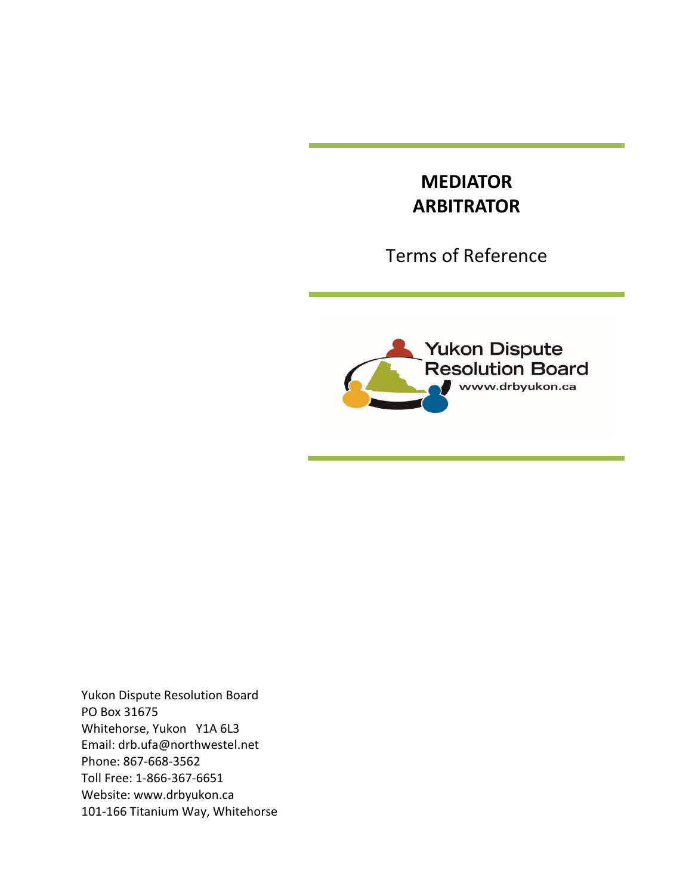# **MEDIATOR ARBITRATOR**

Terms of Reference



Yukon Dispute Resolution Board PO Box 31675 Whitehorse, Yukon Y1A 6L3 Email: [drb.ufa@northwestel.net](mailto:drb.ufa@northwestel.net) Phone: 867-668-3562 Toll Free: 1-866-367-6651 Website: [www.drbyukon.ca](http://www.drbyukon.ca/) 101-166 Titanium Way, Whitehorse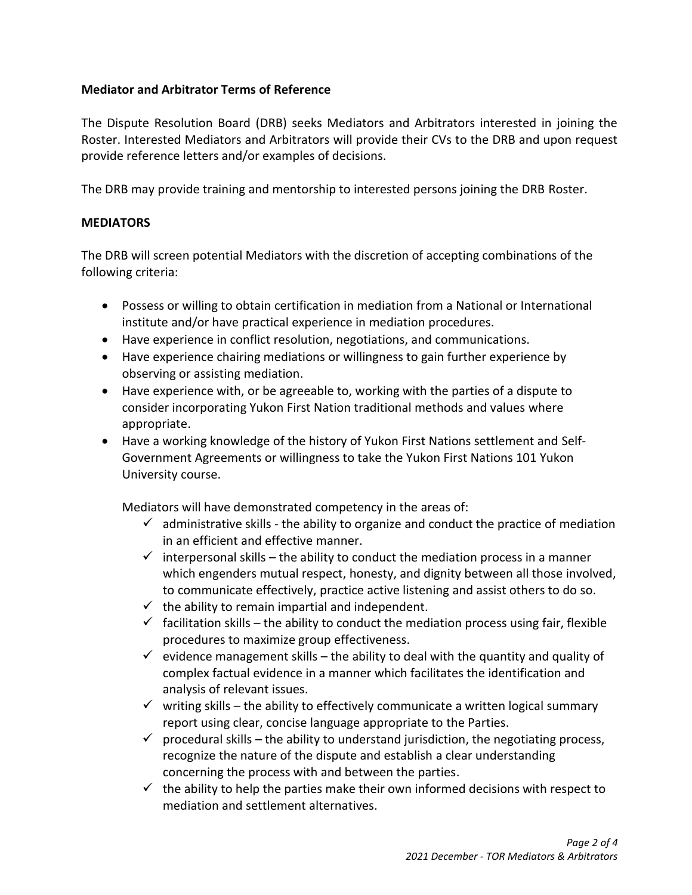## **Mediator and Arbitrator Terms of Reference**

The Dispute Resolution Board (DRB) seeks Mediators and Arbitrators interested in joining the Roster. Interested Mediators and Arbitrators will provide their CVs to the DRB and upon request provide reference letters and/or examples of decisions.

The DRB may provide training and mentorship to interested persons joining the DRB Roster.

### **MEDIATORS**

The DRB will screen potential Mediators with the discretion of accepting combinations of the following criteria:

- Possess or willing to obtain certification in mediation from a National or International institute and/or have practical experience in mediation procedures.
- Have experience in conflict resolution, negotiations, and communications.
- Have experience chairing mediations or willingness to gain further experience by observing or assisting mediation.
- Have experience with, or be agreeable to, working with the parties of a dispute to consider incorporating Yukon First Nation traditional methods and values where appropriate.
- Have a working knowledge of the history of Yukon First Nations settlement and Self-Government Agreements or willingness to take the Yukon First Nations 101 Yukon University course.

Mediators will have demonstrated competency in the areas of:

- $\checkmark$  administrative skills the ability to organize and conduct the practice of mediation in an efficient and effective manner.
- $\checkmark$  interpersonal skills the ability to conduct the mediation process in a manner which engenders mutual respect, honesty, and dignity between all those involved, to communicate effectively, practice active listening and assist others to do so.
- $\checkmark$  the ability to remain impartial and independent.
- $\checkmark$  facilitation skills the ability to conduct the mediation process using fair, flexible procedures to maximize group effectiveness.
- $\checkmark$  evidence management skills the ability to deal with the quantity and quality of complex factual evidence in a manner which facilitates the identification and analysis of relevant issues.
- $\checkmark$  writing skills the ability to effectively communicate a written logical summary report using clear, concise language appropriate to the Parties.
- $\checkmark$  procedural skills the ability to understand jurisdiction, the negotiating process, recognize the nature of the dispute and establish a clear understanding concerning the process with and between the parties.
- $\checkmark$  the ability to help the parties make their own informed decisions with respect to mediation and settlement alternatives.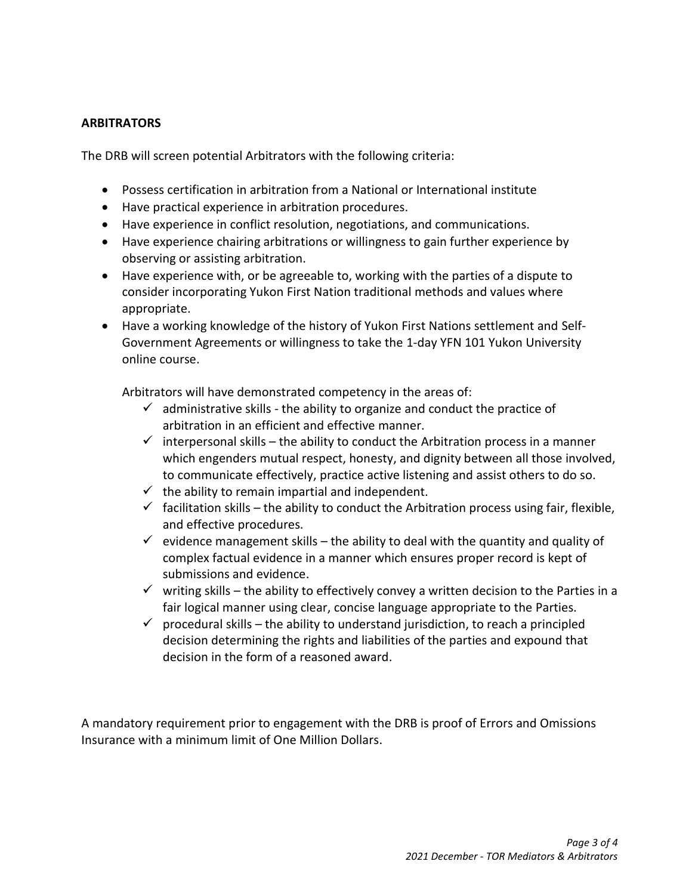### **ARBITRATORS**

The DRB will screen potential Arbitrators with the following criteria:

- Possess certification in arbitration from a National or International institute
- Have practical experience in arbitration procedures.
- Have experience in conflict resolution, negotiations, and communications.
- Have experience chairing arbitrations or willingness to gain further experience by observing or assisting arbitration.
- Have experience with, or be agreeable to, working with the parties of a dispute to consider incorporating Yukon First Nation traditional methods and values where appropriate.
- Have a working knowledge of the history of Yukon First Nations settlement and Self-Government Agreements or willingness to take the 1-day YFN 101 Yukon University online course.

Arbitrators will have demonstrated competency in the areas of:

- $\checkmark$  administrative skills the ability to organize and conduct the practice of arbitration in an efficient and effective manner.
- $\checkmark$  interpersonal skills the ability to conduct the Arbitration process in a manner which engenders mutual respect, honesty, and dignity between all those involved, to communicate effectively, practice active listening and assist others to do so.
- $\checkmark$  the ability to remain impartial and independent.
- $\checkmark$  facilitation skills the ability to conduct the Arbitration process using fair, flexible, and effective procedures.
- $\checkmark$  evidence management skills the ability to deal with the quantity and quality of complex factual evidence in a manner which ensures proper record is kept of submissions and evidence.
- $\checkmark$  writing skills the ability to effectively convey a written decision to the Parties in a fair logical manner using clear, concise language appropriate to the Parties.
- $\checkmark$  procedural skills the ability to understand jurisdiction, to reach a principled decision determining the rights and liabilities of the parties and expound that decision in the form of a reasoned award.

A mandatory requirement prior to engagement with the DRB is proof of Errors and Omissions Insurance with a minimum limit of One Million Dollars.